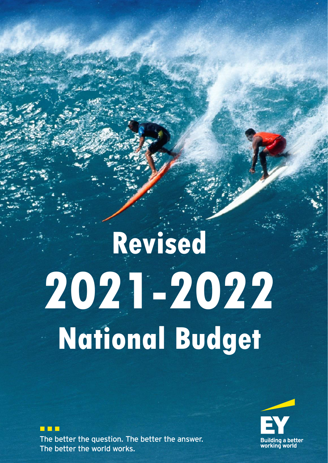# **Revised 2021-2022 National Budget**

**TIPE** ST The better the question. The better the answer. The better the world works.

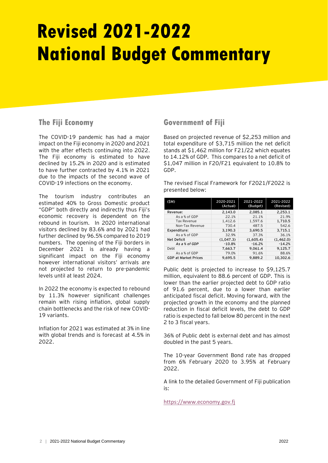# **Revised 2021-2022 National Budget Commentary**

### **The Fiji Economy**

The COVID-19 pandemic has had a major impact on the Fiji economy in 2020 and 2021 with the after effects continuing into 2022. The Fiji economy is estimated to have declined by 15.2% in 2020 and is estimated to have further contracted by 4.1% in 2021 due to the impacts of the second wave of COVID-19 infections on the economy.

The tourism industry contributes an estimated 40% to Gross Domestic product "GDP" both directly and indirectly thus Fiji's economic recovery is dependent on the rebound in tourism. In 2020 international visitors declined by 83.6% and by 2021 had further declined by 96.5% compared to 2019 numbers. The opening of the Fiji borders in December 2021 is already having a significant impact on the Fiji economy however international visitors' arrivals are not projected to return to pre-pandemic levels until at least 2024.

In 2022 the economy is expected to rebound by 11.3% however significant challenges remain with rising inflation, global supply chain bottlenecks and the risk of new COVID-19 variants.

Inflation for 2021 was estimated at 3% in line with global trends and is forecast at 4.5% in 2022.

### **Government of Fiji**

Based on projected revenue of \$2,253 million and total expenditure of \$3,715 million the net deficit stands at \$1,462 million for F21/22 which equates to 14.12% of GDP. This compares to a net deficit of \$1,047 million in F20/F21 equivalent to 10.8% to GDP.

The revised Fiscal Framework for F2021/F2022 is presented below:

| (SM)                        | 2020-2021<br>(Actual) | 2021-2022<br>(Budget) | 2021-2022<br>(Revised) |
|-----------------------------|-----------------------|-----------------------|------------------------|
| Revenue:                    | 2.143.0               | 2.085.1               | 2.253.1                |
| As a % of GDP               | 22.1%                 | 21.1%                 | 21.9%                  |
| <b>Tax Revenue</b>          | 1.412.6               | 1,597.6               | 1,710.5                |
| Non-Tax Revenue             | 730.4                 | 487.5                 | 542.6                  |
| Expenditure:                | 3,190.3               | 3,690.5               | 3,715.1                |
| As a % of GDP               | 32.9%                 | 37.3%                 | 36.1%                  |
| <b>Net Deficit</b>          | (1.047.3)             | (1,605.4)             | (1,462.0)              |
| As a % of GDP               | $-10.8%$              | $-16.2%$              | $-14.2%$               |
| Debt                        | 7.663.7               | 9.061.4               | 9.125.7                |
| As a % of GDP               | 79.0%                 | 91.6%                 | 88.6%                  |
| <b>GDP at Market Prices</b> | 9.695.5               | 9.889.2               | 10.302.6               |

Public debt is projected to increase to \$9,125.7 million, equivalent to 88.6 percent of GDP. This is lower than the earlier projected debt to GDP ratio of 91.6 percent, due to a lower than earlier anticipated fiscal deficit. Moving forward, with the projected growth in the economy and the planned reduction in fiscal deficit levels, the debt to GDP ratio is expected to fall below 80 percent in the next 2 to 3 fiscal years.

36% of Public debt is external debt and has almost doubled in the past 5 years.

The 10-year Government Bond rate has dropped from 6% February 2020 to 3.95% at February 2022.

A link to the detailed Government of Fiji publication is:

[https://www.economy.gov.fj](https://www.economy.gov.fj/)